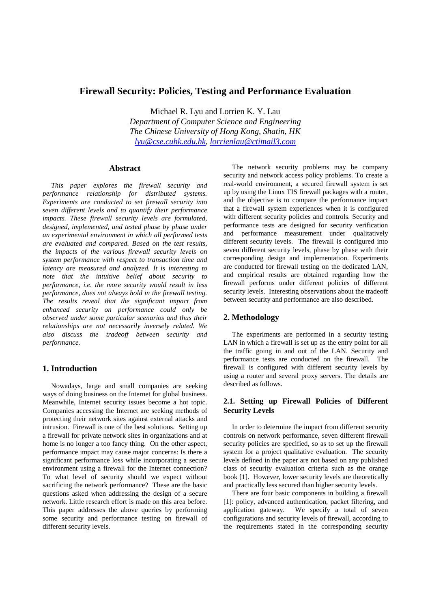# **Firewall Security: Policies, Testing and Performance Evaluation**

Michael R. Lyu and Lorrien K. Y. Lau

*Department of Computer Science and Engineering The Chinese University of Hong Kong, Shatin, HK lyu@cse.cuhk.edu.hk, lorrienlau@ctimail3.com*

## **Abstract**

*This paper explores the firewall security and performance relationship for distributed systems. Experiments are conducted to set firewall security into seven different levels and to quantify their performance impacts. These firewall security levels are formulated, designed, implemented, and tested phase by phase under an experimental environment in which all performed tests are evaluated and compared. Based on the test results, the impacts of the various firewall security levels on system performance with respect to transaction time and latency are measured and analyzed. It is interesting to note that the intuitive belief about security to performance, i.e. the more security would result in less performance, does not always hold in the firewall testing. The results reveal that the significant impact from enhanced security on performance could only be observed under some particular scenarios and thus their relationships are not necessarily inversely related. We also discuss the tradeoff between security and performance.* 

# **1. Introduction**

Nowadays, large and small companies are seeking ways of doing business on the Internet for global business. Meanwhile, Internet security issues become a hot topic. Companies accessing the Internet are seeking methods of protecting their network sites against external attacks and intrusion. Firewall is one of the best solutions. Setting up a firewall for private network sites in organizations and at home is no longer a too fancy thing. On the other aspect, performance impact may cause major concerns: Is there a significant performance loss while incorporating a secure environment using a firewall for the Internet connection? To what level of security should we expect without sacrificing the network performance? These are the basic questions asked when addressing the design of a secure network. Little research effort is made on this area before. This paper addresses the above queries by performing some security and performance testing on firewall of different security levels.

The network security problems may be company security and network access policy problems. To create a real-world environment, a secured firewall system is set up by using the Linux TIS firewall packages with a router, and the objective is to compare the performance impact that a firewall system experiences when it is configured with different security policies and controls. Security and performance tests are designed for security verification and performance measurement under qualitatively different security levels. The firewall is configured into seven different security levels, phase by phase with their corresponding design and implementation. Experiments are conducted for firewall testing on the dedicated LAN, and empirical results are obtained regarding how the firewall performs under different policies of different security levels. Interesting observations about the tradeoff between security and performance are also described.

## **2. Methodology**

The experiments are performed in a security testing LAN in which a firewall is set up as the entry point for all the traffic going in and out of the LAN. Security and performance tests are conducted on the firewall. The firewall is configured with different security levels by using a router and several proxy servers. The details are described as follows.

## **2.1. Setting up Firewall Policies of Different Security Levels**

In order to determine the impact from different security controls on network performance, seven different firewall security policies are specified, so as to set up the firewall system for a project qualitative evaluation. The security levels defined in the paper are not based on any published class of security evaluation criteria such as the orange book [1]. However, lower security levels are theoretically and practically less secured than higher security levels.

There are four basic components in building a firewall [1]: policy, advanced authentication, packet filtering, and application gateway. We specify a total of seven configurations and security levels of firewall, according to the requirements stated in the corresponding security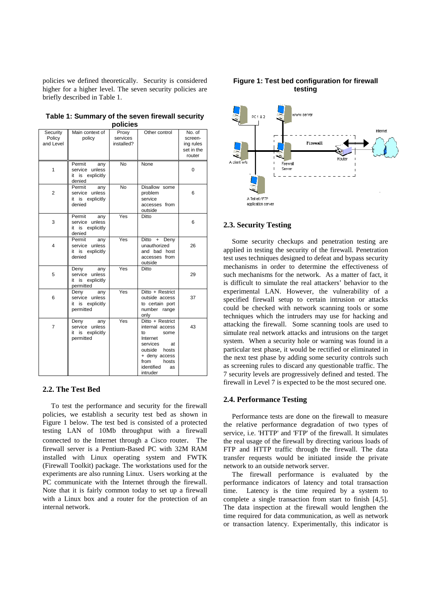policies we defined theoretically. Security is considered higher for a higher level. The seven security policies are briefly described in Table 1.

| Security<br>Policy<br>and Level | Main context of<br>policy                                            | Proxy<br>services<br>installed? | Other control                                                                                                                                                         | No. of<br>screen-<br>ing rules<br>set in the<br>router |
|---------------------------------|----------------------------------------------------------------------|---------------------------------|-----------------------------------------------------------------------------------------------------------------------------------------------------------------------|--------------------------------------------------------|
| 1                               | Permit<br>any<br>service unless<br>it is explicitly<br>denied        | <b>No</b>                       | None                                                                                                                                                                  | 0                                                      |
| $\overline{2}$                  | Permit<br>any<br>service unless<br>it is explicitly<br>denied        | <b>No</b>                       | Disallow some<br>problem<br>service<br>accesses from<br>outside                                                                                                       | 6                                                      |
| 3                               | Permit<br>any<br>service unless<br>it is explicitly<br>denied        | Yes                             | Ditto                                                                                                                                                                 | 6                                                      |
| 4                               | Permit<br>any<br>service unless<br>it is explicitly<br>denied        | Yes                             | Ditto +<br>Deny<br>unauthorized<br>and bad host<br>accesses from<br>outside                                                                                           | 26                                                     |
| 5                               | Deny<br>any<br>service unless<br>explicitly<br>is<br>it<br>permitted | Yes                             | Ditto                                                                                                                                                                 | 29                                                     |
| 6                               | Deny<br>any<br>service unless<br>explicitly<br>it is<br>permitted    | Yes                             | Ditto + Restrict<br>outside access<br>to certain port<br>number range<br>only                                                                                         | 37                                                     |
| $\overline{7}$                  | Deny<br>any<br>service unless<br>it is explicitly<br>permitted       | Yes                             | Ditto + Restrict<br>internal access<br>to<br>some<br>Internet<br>services<br>at<br>outside<br>hosts<br>+ deny access<br>from<br>hosts<br>identified<br>as<br>intruder | 43                                                     |

**Table 1: Summary of the seven firewall security policies** 

### **2.2. The Test Bed**

To test the performance and security for the firewall policies, we establish a security test bed as shown in Figure 1 below. The test bed is consisted of a protected testing LAN of 10Mb throughput with a firewall connected to the Internet through a Cisco router. The firewall server is a Pentium-Based PC with 32M RAM installed with Linux operating system and FWTK (Firewall Toolkit) package. The workstations used for the experiments are also running Linux. Users working at the PC communicate with the Internet through the firewall. Note that it is fairly common today to set up a firewall with a Linux box and a router for the protection of an internal network.





#### **2.3. Security Testing**

Some security checkups and penetration testing are applied in testing the security of the firewall. Penetration test uses techniques designed to defeat and bypass security mechanisms in order to determine the effectiveness of such mechanisms for the network. As a matter of fact, it is difficult to simulate the real attackers' behavior to the experimental LAN. However, the vulnerability of a specified firewall setup to certain intrusion or attacks could be checked with network scanning tools or some techniques which the intruders may use for hacking and attacking the firewall. Some scanning tools are used to simulate real network attacks and intrusions on the target system. When a security hole or warning was found in a particular test phase, it would be rectified or eliminated in the next test phase by adding some security controls such as screening rules to discard any questionable traffic. The 7 security levels are progressively defined and tested. The firewall in Level 7 is expected to be the most secured one.

## **2.4. Performance Testing**

Performance tests are done on the firewall to measure the relative performance degradation of two types of service, i.e. 'HTTP' and 'FTP' of the firewall. It simulates the real usage of the firewall by directing various loads of FTP and HTTP traffic through the firewall. The data transfer requests would be initiated inside the private network to an outside network server.

The firewall performance is evaluated by the performance indicators of latency and total transaction time. Latency is the time required by a system to complete a single transaction from start to finish [4,5]. The data inspection at the firewall would lengthen the time required for data communication, as well as network or transaction latency. Experimentally, this indicator is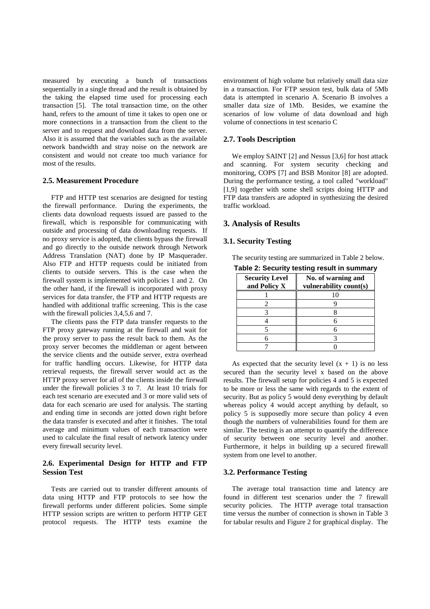measured by executing a bunch of transactions sequentially in a single thread and the result is obtained by the taking the elapsed time used for processing each transaction [5]. The total transaction time, on the other hand, refers to the amount of time it takes to open one or more connections in a transaction from the client to the server and to request and download data from the server. Also it is assumed that the variables such as the available network bandwidth and stray noise on the network are consistent and would not create too much variance for most of the results.

### **2.5. Measurement Procedure**

FTP and HTTP test scenarios are designed for testing the firewall performance. During the experiments, the clients data download requests issued are passed to the firewall, which is responsible for communicating with outside and processing of data downloading requests. If no proxy service is adopted, the clients bypass the firewall and go directly to the outside network through Network Address Translation (NAT) done by IP Masquerader. Also FTP and HTTP requests could be initiated from clients to outside servers. This is the case when the firewall system is implemented with policies 1 and 2. On the other hand, if the firewall is incorporated with proxy services for data transfer, the FTP and HTTP requests are handled with additional traffic screening. This is the case with the firewall policies 3,4,5,6 and 7.

The clients pass the FTP data transfer requests to the FTP proxy gateway running at the firewall and wait for the proxy server to pass the result back to them. As the proxy server becomes the middleman or agent between the service clients and the outside server, extra overhead for traffic handling occurs. Likewise, for HTTP data retrieval requests, the firewall server would act as the HTTP proxy server for all of the clients inside the firewall under the firewall policies 3 to 7. At least 10 trials for each test scenario are executed and 3 or more valid sets of data for each scenario are used for analysis. The starting and ending time in seconds are jotted down right before the data transfer is executed and after it finishes. The total average and minimum values of each transaction were used to calculate the final result of network latency under every firewall security level.

## **2.6. Experimental Design for HTTP and FTP Session Test**

Tests are carried out to transfer different amounts of data using HTTP and FTP protocols to see how the firewall performs under different policies. Some simple HTTP session scripts are written to perform HTTP GET protocol requests. The HTTP tests examine the

environment of high volume but relatively small data size in a transaction. For FTP session test, bulk data of 5Mb data is attempted in scenario A. Scenario B involves a smaller data size of 1Mb. Besides, we examine the scenarios of low volume of data download and high volume of connections in test scenario C

#### **2.7. Tools Description**

We employ SAINT [2] and Nessus [3,6] for host attack and scanning. For system security checking and monitoring, COPS [7] and BSB Monitor [8] are adopted. During the performance testing, a tool called "workload" [1,9] together with some shell scripts doing HTTP and FTP data transfers are adopted in synthesizing the desired traffic workload.

## **3. Analysis of Results**

## **3.1. Security Testing**

The security testing are summarized in Table 2 below.

| <b>Security Level</b><br>and Policy X | No. of warning and<br>vulnerability count(s) |  |  |  |  |
|---------------------------------------|----------------------------------------------|--|--|--|--|
|                                       | 10                                           |  |  |  |  |
|                                       |                                              |  |  |  |  |
|                                       |                                              |  |  |  |  |
|                                       |                                              |  |  |  |  |
|                                       |                                              |  |  |  |  |
|                                       |                                              |  |  |  |  |
|                                       |                                              |  |  |  |  |

As expected that the security level  $(x + 1)$  is no less secured than the security level x based on the above results. The firewall setup for policies 4 and 5 is expected to be more or less the same with regards to the extent of security. But as policy 5 would deny everything by default whereas policy 4 would accept anything by default, so policy 5 is supposedly more secure than policy 4 even though the numbers of vulnerabilities found for them are similar. The testing is an attempt to quantify the difference of security between one security level and another. Furthermore, it helps in building up a secured firewall system from one level to another.

#### **3.2. Performance Testing**

The average total transaction time and latency are found in different test scenarios under the 7 firewall security policies. The HTTP average total transaction time versus the number of connection is shown in Table 3 for tabular results and Figure 2 for graphical display. The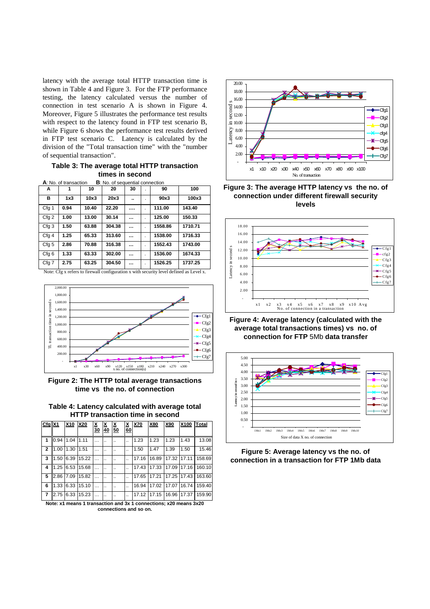latency with the average total HTTP transaction time is shown in Table 4 and Figure 3. For the FTP performance testing, the latency calculated versus the number of connection in test scenario A is shown in Figure 4. Moreover, Figure 5 illustrates the performance test results with respect to the latency found in FTP test scenario B, while Figure 6 shows the performance test results derived in FTP test scenario C. Latency is calculated by the division of the "Total transaction time" with the "number of sequential transaction".

**Table 3: The average total HTTP transaction times in second** 

| A: No. of transaction<br><b>B</b> : No. of sequential connection |      |       |        |                      |   |         |         |  |
|------------------------------------------------------------------|------|-------|--------|----------------------|---|---------|---------|--|
| A                                                                |      | 10    | 20     | 30                   |   | 90      | 100     |  |
| в                                                                | 1x3  | 10x3  | 20x3   | ٠.                   |   | 90x3    | 100x3   |  |
| Cfg <sub>1</sub>                                                 | 0.94 | 10.40 | 22.20  |                      |   | 111.00  | 143.40  |  |
| Cfg <sub>2</sub>                                                 | 1.00 | 13.00 | 30.14  | $\cdots$             |   | 125.00  | 150.33  |  |
| Cfg <sub>3</sub>                                                 | 1.50 | 63.88 | 304.38 | $\cdots$             |   | 1558.86 | 1710.71 |  |
| Cfg 4                                                            | 1.25 | 65.33 | 313.60 | $\cdots$             |   | 1538.00 | 1716.33 |  |
| Cfg 5                                                            | 2.86 | 70.88 | 316.38 |                      |   | 1552.43 | 1743.00 |  |
| Cfg <sub>6</sub>                                                 | 1.33 | 63.33 | 302.00 | $\ddot{\phantom{a}}$ |   | 1536.00 | 1674.33 |  |
| Cfg 7                                                            | 2.75 | 63.25 | 304.50 | $\cdots$             | ٠ | 1526.25 | 1737.25 |  |

Note: Cfg x refers to firewall configuration x with security level defined as Level x.



**Figure 2: The HTTP total average transactions time vs the no. of connection** 

**Table 4: Latency calculated with average total HTTP transaction time in second**

| Cfg X1         |      | <b>X10</b> | X20   | $\frac{\mathsf{X}}{30}$ | X                    | $\frac{\text{X}}{50}$ | X  | X70   | X80   | X90   | X100        | <b>Total</b> |
|----------------|------|------------|-------|-------------------------|----------------------|-----------------------|----|-------|-------|-------|-------------|--------------|
|                |      |            |       |                         | 40                   |                       | 60 |       |       |       |             |              |
| 1              | 0.94 | 1.04       | 1.11  | $\cdots$                |                      | $\ddot{\phantom{a}}$  |    | 1.23  | 1.23  | 1.23  | 1.43        | 13.08        |
| $\overline{2}$ | 1.00 | 1.30       | 1.51  | $\cdots$                | $\ddot{\phantom{a}}$ | $\ddot{\phantom{a}}$  |    | 1.50  | 1.47  | 1.39  | 1.50        | 15.46        |
| 3              | 1.50 | 6.39       | 15.22 |                         | $\ddot{\phantom{a}}$ | $\ddot{\phantom{a}}$  |    | 17.16 | 16.89 | 17.32 | 17.11       | 158.69       |
| 4              | 1.25 | 6.53       | 15.68 |                         |                      | $\ddot{\phantom{a}}$  |    | 17.43 | 17.33 | 17.09 | 17.16       | 160.10       |
| 5              | 2.86 | 7.09       | 15.82 |                         |                      | $\ddot{\phantom{0}}$  |    | 17.65 | 17.21 |       | 17.25 17.43 | 163.60       |
| 6              | 1.33 | 6.33       | 15.10 |                         | $\ddot{\phantom{a}}$ | $\ddot{\phantom{0}}$  |    | 16.94 | 17.02 | 17.07 | 16.74       | 159.40       |
| $\overline{7}$ | 2.75 | 6.33       | 15.23 |                         | $\ddot{\phantom{a}}$ | $\ddot{\phantom{a}}$  |    | 17.12 | 17.15 | 16.96 |             | 17.37 159.90 |

**Note: x1 means 1 transaction and 3x 1 connections; x20 means 3x20 connections and so on.**



**Figure 3: The average HTTP latency vs the no. of connection under different firewall security levels** 



**Figure 4: Average latency (calculated with the average total transactions times) vs no. of connection for FTP** 5Mb **data transfer** 



**Figure 5: Average latency vs the no. of connection in a transaction for FTP 1Mb data**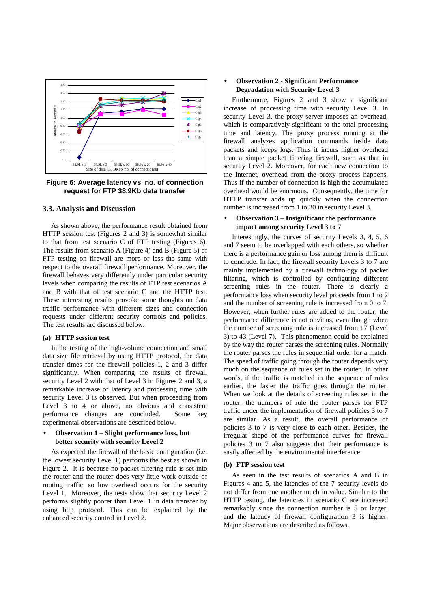

**Figure 6: Average latency vs no. of connection request for FTP 38.9Kb data transfer** 

#### **3.3. Analysis and Discussion**

As shown above, the performance result obtained from HTTP session test (Figures 2 and 3) is somewhat similar to that from test scenario C of FTP testing (Figures 6). The results from scenario A (Figure 4) and B (Figure 5) of FTP testing on firewall are more or less the same with respect to the overall firewall performance. Moreover, the firewall behaves very differently under particular security levels when comparing the results of FTP test scenarios A and B with that of test scenario C and the HTTP test. These interesting results provoke some thoughts on data traffic performance with different sizes and connection requests under different security controls and policies. The test results are discussed below.

## **(a) HTTP session test**

In the testing of the high-volume connection and small data size file retrieval by using HTTP protocol, the data transfer times for the firewall policies 1, 2 and 3 differ significantly. When comparing the results of firewall security Level 2 with that of Level 3 in Figures 2 and 3, a remarkable increase of latency and processing time with security Level 3 is observed. But when proceeding from Level 3 to 4 or above, no obvious and consistent performance changes are concluded. Some key experimental observations are described below.

## • **Observation 1 – Slight performance loss, but better security with security Level 2**

As expected the firewall of the basic configuration (i.e. the lowest security Level 1) performs the best as shown in Figure 2. It is because no packet-filtering rule is set into the router and the router does very little work outside of routing traffic, so low overhead occurs for the security Level 1. Moreover, the tests show that security Level 2 performs slightly poorer than Level 1 in data transfer by using http protocol. This can be explained by the enhanced security control in Level 2.

## • **Observation 2 - Significant Performance Degradation with Security Level 3**

Furthermore, Figures 2 and 3 show a significant increase of processing time with security Level 3. In security Level 3, the proxy server imposes an overhead, which is comparatively significant to the total processing time and latency. The proxy process running at the firewall analyzes application commands inside data packets and keeps logs. Thus it incurs higher overhead than a simple packet filtering firewall, such as that in security Level 2. Moreover, for each new connection to the Internet, overhead from the proxy process happens. Thus if the number of connection is high the accumulated overhead would be enormous. Consequently, the time for HTTP transfer adds up quickly when the connection number is increased from 1 to 30 in security Level 3.

## • **Observation 3 – Insignificant the performance impact among security Level 3 to 7**

Interestingly, the curves of security Levels 3, 4, 5, 6 and 7 seem to be overlapped with each others, so whether there is a performance gain or loss among them is difficult to conclude. In fact, the firewall security Levels 3 to 7 are mainly implemented by a firewall technology of packet filtering, which is controlled by configuring different screening rules in the router. There is clearly a performance loss when security level proceeds from 1 to 2 and the number of screening rule is increased from 0 to 7. However, when further rules are added to the router, the performance difference is not obvious, even though when the number of screening rule is increased from 17 (Level 3) to 43 (Level 7). This phenomenon could be explained by the way the router parses the screening rules. Normally the router parses the rules in sequential order for a match. The speed of traffic going through the router depends very much on the sequence of rules set in the router. In other words, if the traffic is matched in the sequence of rules earlier, the faster the traffic goes through the router. When we look at the details of screening rules set in the router, the numbers of rule the router parses for FTP traffic under the implementation of firewall policies 3 to 7 are similar. As a result, the overall performance of policies 3 to 7 is very close to each other. Besides, the irregular shape of the performance curves for firewall policies 3 to 7 also suggests that their performance is easily affected by the environmental interference.

## **(b) FTP session test**

As seen in the test results of scenarios A and B in Figures 4 and 5, the latencies of the 7 security levels do not differ from one another much in value. Similar to the HTTP testing, the latencies in scenario C are increased remarkably since the connection number is 5 or larger, and the latency of firewall configuration 3 is higher. Major observations are described as follows.